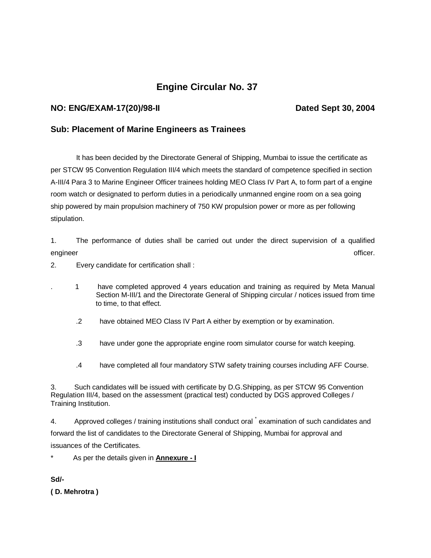# **Engine Circular No. 37**

## **NO: ENG/EXAM-17(20)/98-II Dated Sept 30, 2004**

## **Sub: Placement of Marine Engineers as Trainees**

 It has been decided by the Directorate General of Shipping, Mumbai to issue the certificate as per STCW 95 Convention Regulation III/4 which meets the standard of competence specified in section A-III/4 Para 3 to Marine Engineer Officer trainees holding MEO Class IV Part A, to form part of a engine room watch or designated to perform duties in a periodically unmanned engine room on a sea going ship powered by main propulsion machinery of 750 KW propulsion power or more as per following stipulation.

1. The performance of duties shall be carried out under the direct supervision of a qualified engineer officer. And the control of the control of the control of the control of the control of the control of

2. Every candidate for certification shall :

- . 1 have completed approved 4 years education and training as required by Meta Manual Section M-III/1 and the Directorate General of Shipping circular / notices issued from time to time, to that effect.
	- .2 have obtained MEO Class IV Part A either by exemption or by examination.
	- .3 have under gone the appropriate engine room simulator course for watch keeping.
	- .4 have completed all four mandatory STW safety training courses including AFF Course.

3. Such candidates will be issued with certificate by D.G.Shipping, as per STCW 95 Convention Regulation III/4, based on the assessment (practical test) conducted by DGS approved Colleges / Training Institution.

4. Approved colleges / training institutions shall conduct oral  $\check{ }$  examination of such candidates and forward the list of candidates to the Directorate General of Shipping, Mumbai for approval and issuances of the Certificates.

\* As per the details given in **Annexure - I**

**Sd/-**

**( D. Mehrotra )**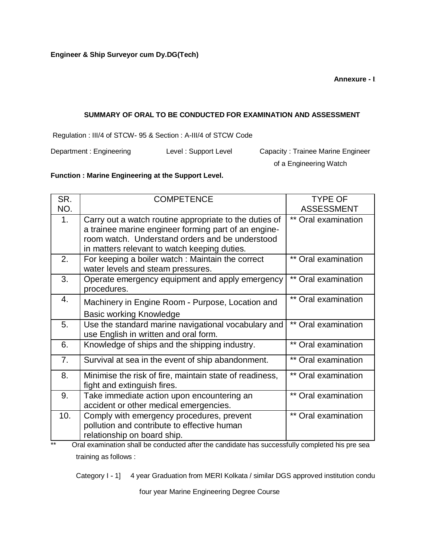**Annexure - Ixure-I**

#### **SUMMARY OF ORAL TO BE CONDUCTED FOR EXAMINATION AND ASSESSMENT**

Regulation : III/4 of STCW- 95 & Section : A-III/4 of STCW Code

Department : Engineering Level : Support Level Capacity : Trainee Marine Engineer

of a Engineering Watch

## **Function : Marine Engineering at the Support Level.**

| SR. | <b>COMPETENCE</b>                                                                                                                                                                                                 | <b>TYPE OF</b>      |
|-----|-------------------------------------------------------------------------------------------------------------------------------------------------------------------------------------------------------------------|---------------------|
| NO. |                                                                                                                                                                                                                   | <b>ASSESSMENT</b>   |
| 1.  | Carry out a watch routine appropriate to the duties of<br>a trainee marine engineer forming part of an engine-<br>room watch. Understand orders and be understood<br>in matters relevant to watch keeping duties. | ** Oral examination |
| 2.  | For keeping a boiler watch: Maintain the correct<br>water levels and steam pressures.                                                                                                                             | ** Oral examination |
| 3.  | Operate emergency equipment and apply emergency<br>procedures.                                                                                                                                                    | ** Oral examination |
| 4.  | Machinery in Engine Room - Purpose, Location and<br><b>Basic working Knowledge</b>                                                                                                                                | ** Oral examination |
| 5.  | Use the standard marine navigational vocabulary and<br>use English in written and oral form.                                                                                                                      | ** Oral examination |
| 6.  | Knowledge of ships and the shipping industry.                                                                                                                                                                     | ** Oral examination |
| 7.  | Survival at sea in the event of ship abandonment.                                                                                                                                                                 | ** Oral examination |
| 8.  | Minimise the risk of fire, maintain state of readiness,<br>fight and extinguish fires.                                                                                                                            | ** Oral examination |
| 9.  | Take immediate action upon encountering an<br>accident or other medical emergencies.                                                                                                                              | ** Oral examination |
| 10. | Comply with emergency procedures, prevent<br>pollution and contribute to effective human<br>relationship on board ship.                                                                                           | ** Oral examination |

\*\* Oral examination shall be conducted after the candidate has successfully completed his pre sea training as follows :

Category I - 1] 4 year Graduation from MERI Kolkata / similar DGS approved institution condu

four year Marine Engineering Degree Course